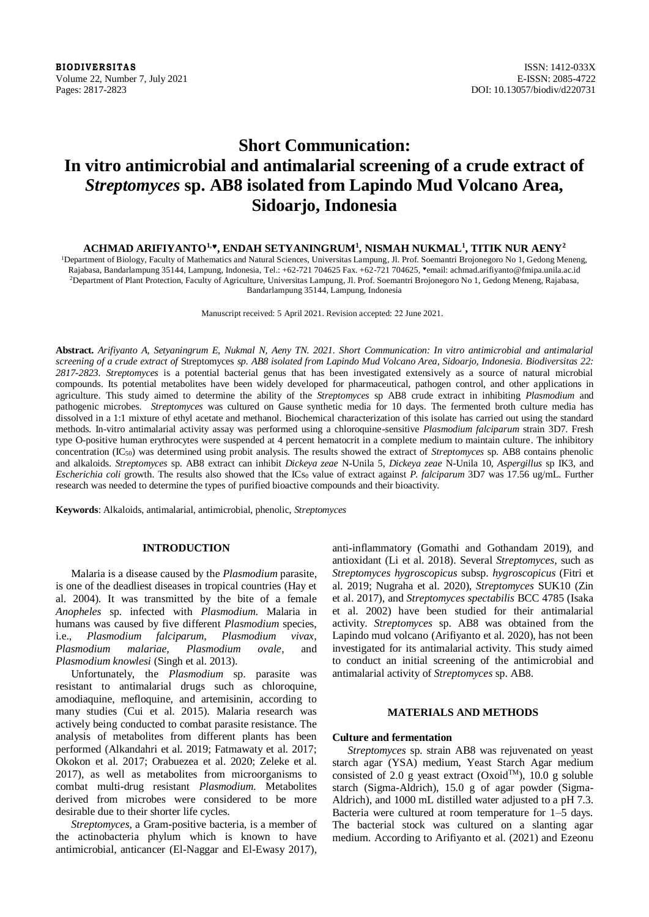**BIODIVERSITAS** ISSN: 1412-033X Volume 22, Number 7, July 2021 E-ISSN: 2085-4722 Pages: 2817-2823 DOI: 10.13057/biodiv/d220731

# **Short Communication: In vitro antimicrobial and antimalarial screening of a crude extract of**  *Streptomyces* **sp. AB8 isolated from Lapindo Mud Volcano Area, Sidoarjo, Indonesia**

## **ACHMAD ARIFIYANTO1,, ENDAH SETYANINGRUM<sup>1</sup> , NISMAH NUKMAL<sup>1</sup> , TITIK NUR AENY<sup>2</sup>**

<sup>1</sup>Department of Biology, Faculty of Mathematics and Natural Sciences, Universitas Lampung, Jl. Prof. Soemantri Brojonegoro No 1, Gedong Meneng, Rajabasa, Bandarlampung 35144, Lampung, Indonesia, Tel.: +62-721 704625 Fax. +62-721 704625, \*email: achmad.arifiyanto@fmipa.unila.ac.id <sup>2</sup>Department of Plant Protection, Faculty of Agriculture, Universitas Lampung, Jl. Prof. Soemantri Brojonegoro No 1, Gedong Meneng, Rajabasa, Bandarlampung 35144, Lampung, Indonesia

Manuscript received: 5 April 2021. Revision accepted: 22 June 2021.

**Abstract.** *Arifiyanto A, Setyaningrum E, Nukmal N, Aeny TN. 2021. Short Communication: In vitro antimicrobial and antimalarial screening of a crude extract of* Streptomyces *sp. AB8 isolated from Lapindo Mud Volcano Area, Sidoarjo, Indonesia. Biodiversitas 22: 2817-2823. Streptomyces* is a potential bacterial genus that has been investigated extensively as a source of natural microbial compounds. Its potential metabolites have been widely developed for pharmaceutical, pathogen control, and other applications in agriculture. This study aimed to determine the ability of the *Streptomyces* sp AB8 crude extract in inhibiting *Plasmodium* and pathogenic microbes. *Streptomyces* was cultured on Gause synthetic media for 10 days. The fermented broth culture media has dissolved in a 1:1 mixture of ethyl acetate and methanol. Biochemical characterization of this isolate has carried out using the standard methods. In-vitro antimalarial activity assay was performed using a chloroquine-sensitive *Plasmodium falciparum* strain 3D7. Fresh type O-positive human erythrocytes were suspended at 4 percent hematocrit in a complete medium to maintain culture. The inhibitory concentration (IC50) was determined using probit analysis. The results showed the extract of *Streptomyces* sp. AB8 contains phenolic and alkaloids. *Streptomyces* sp. AB8 extract can inhibit *Dickeya zeae* N-Unila 5, *Dickeya zeae* N-Unila 10, *Aspergillus* sp IK3, and *Escherichia coli* growth. The results also showed that the ICs<sub>0</sub> value of extract against *P. falciparum* 3D7 was 17.56 ug/mL. Further research was needed to determine the types of purified bioactive compounds and their bioactivity.

**Keywords**: Alkaloids, antimalarial, antimicrobial, phenolic, *Streptomyces*

## **INTRODUCTION**

Malaria is a disease caused by the *Plasmodium* parasite, is one of the deadliest diseases in tropical countries (Hay et al. 2004). It was transmitted by the bite of a female *Anopheles* sp. infected with *Plasmodium*. Malaria in humans was caused by five different *Plasmodium* species, i.e., *Plasmodium falciparum, Plasmodium vivax,* i.e., *Plasmodium falciparum, Plasmodium vivax, Plasmodium malariae, Plasmodium ovale*, and *Plasmodium knowlesi* (Singh et al. 2013).

Unfortunately, the *Plasmodium* sp. parasite was resistant to antimalarial drugs such as chloroquine, amodiaquine, mefloquine, and artemisinin, according to many studies (Cui et al. 2015). Malaria research was actively being conducted to combat parasite resistance. The analysis of metabolites from different plants has been performed (Alkandahri et al. 2019; Fatmawaty et al. 2017; Okokon et al. 2017; Orabuezea et al. 2020; Zeleke et al. 2017), as well as metabolites from microorganisms to combat multi-drug resistant *Plasmodium*. Metabolites derived from microbes were considered to be more desirable due to their shorter life cycles.

*Streptomyces*, a Gram-positive bacteria, is a member of the actinobacteria phylum which is known to have antimicrobial, anticancer (El-Naggar and El-Ewasy 2017), anti-inflammatory (Gomathi and Gothandam 2019), and antioxidant (Li et al. 2018). Several *Streptomyces,* such as *Streptomyces hygroscopicus* subsp. *hygroscopicus* (Fitri et al. 2019; Nugraha et al. 2020), *Streptomyces* SUK10 (Zin et al. 2017), and *Streptomyces spectabilis* BCC 4785 (Isaka et al. 2002) have been studied for their antimalarial activity. *Streptomyces* sp. AB8 was obtained from the Lapindo mud volcano (Arifiyanto et al. 2020), has not been investigated for its antimalarial activity. This study aimed to conduct an initial screening of the antimicrobial and antimalarial activity of *Streptomyces* sp. AB8.

## **MATERIALS AND METHODS**

#### **Culture and fermentation**

*Streptomyces* sp. strain AB8 was rejuvenated on yeast starch agar (YSA) medium, Yeast Starch Agar medium consisted of 2.0 g yeast extract (Oxoid<sup>TM</sup>), 10.0 g soluble starch (Sigma-Aldrich), 15.0 g of agar powder (Sigma-Aldrich), and 1000 mL distilled water adjusted to a pH 7.3. Bacteria were cultured at room temperature for 1–5 days. The bacterial stock was cultured on a slanting agar medium. According to Arifiyanto et al. (2021) and Ezeonu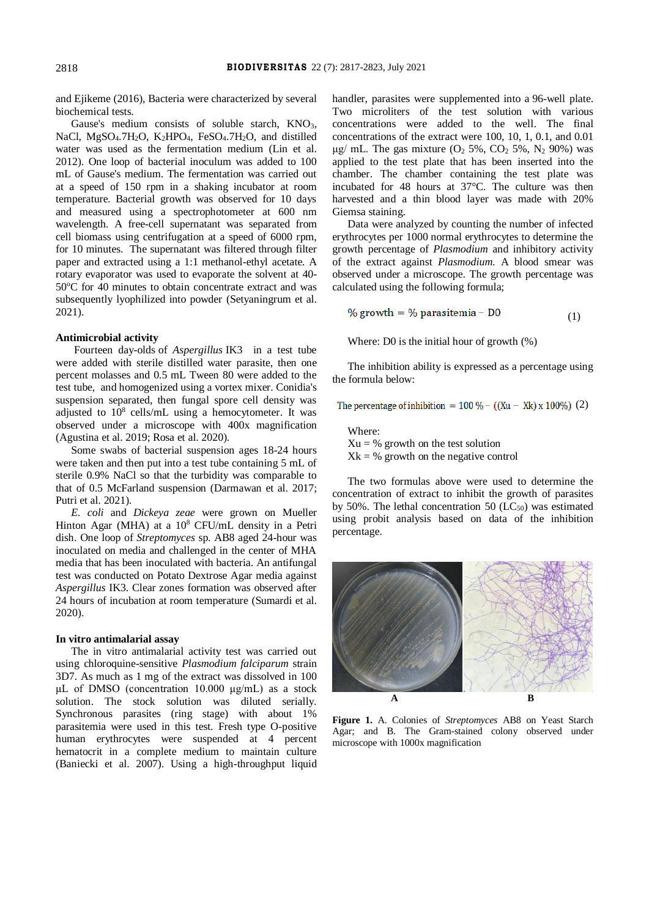and Ejikeme (2016), Bacteria were characterized by several biochemical tests.

Gause's medium consists of soluble starch,  $KNO<sub>3</sub>$ , NaCl, MgSO<sub>4</sub>.7H<sub>2</sub>O, K<sub>2</sub>HPO<sub>4</sub>, FeSO<sub>4</sub>.7H<sub>2</sub>O, and distilled water was used as the fermentation medium (Lin et al. 2012). One loop of bacterial inoculum was added to 100 mL of Gause's medium. The fermentation was carried out at a speed of 150 rpm in a shaking incubator at room temperature. Bacterial growth was observed for 10 days and measured using a spectrophotometer at 600 nm wavelength. A free-cell supernatant was separated from cell biomass using centrifugation at a speed of 6000 rpm, for 10 minutes. The supernatant was filtered through filter paper and extracted using a 1:1 methanol-ethyl acetate. A rotary evaporator was used to evaporate the solvent at 40- 50 °C for 40 minutes to obtain concentrate extract and was subsequently lyophilized into powder (Setyaningrum et al. 2021).

## **Antimicrobial activity**

Fourteen day-olds of *Aspergillus* IK3 in a test tube were added with sterile distilled water parasite, then one percent molasses and 0.5 mL Tween 80 were added to the test tube, and homogenized using a vortex mixer. Conidia's suspension separated, then fungal spore cell density was adjusted to  $10^8$  cells/mL using a hemocytometer. It was observed under a microscope with 400x magnification (Agustina et al. 2019; Rosa et al. 2020).

Some swabs of bacterial suspension ages 18-24 hours were taken and then put into a test tube containing 5 mL of sterile 0.9% NaCl so that the turbidity was comparable to that of 0.5 McFarland suspension (Darmawan et al. 2017; Putri et al. 2021).

*E. coli* and *Dickeya zeae* were grown on Mueller Hinton Agar (MHA) at a  $10^8$  CFU/mL density in a Petri dish. One loop of *Streptomyces* sp. AB8 aged 24-hour was inoculated on media and challenged in the center of MHA media that has been inoculated with bacteria. An antifungal test was conducted on Potato Dextrose Agar media against *Aspergillus* IK3. Clear zones formation was observed after 24 hours of incubation at room temperature (Sumardi et al. 2020).

## **In vitro antimalarial assay**

The in vitro antimalarial activity test was carried out using chloroquine-sensitive *Plasmodium falciparum* strain 3D7. As much as 1 mg of the extract was dissolved in 100 μL of DMSO (concentration 10.000 μg/mL) as a stock solution. The stock solution was diluted serially. Synchronous parasites (ring stage) with about 1% parasitemia were used in this test. Fresh type O-positive human erythrocytes were suspended at 4 percent hematocrit in a complete medium to maintain culture (Baniecki et al. 2007). Using a high-throughput liquid

handler, parasites were supplemented into a 96-well plate. Two microliters of the test solution with various concentrations were added to the well. The final concentrations of the extract were 100, 10, 1, 0.1, and 0.01 μg/ mL. The gas mixture ( $O_2$  5%,  $CO_2$  5%,  $N_2$  90%) was applied to the test plate that has been inserted into the chamber. The chamber containing the test plate was incubated for 48 hours at 37°C. The culture was then harvested and a thin blood layer was made with 20% Giemsa staining.

Data were analyzed by counting the number of infected erythrocytes per 1000 normal erythrocytes to determine the growth percentage of *Plasmodium* and inhibitory activity of the extract against *Plasmodium*. A blood smear was observed under a microscope. The growth percentage was calculated using the following formula;

% growth = % parasitemia -  $D0$ (1)

Where: D0 is the initial hour of growth (%)

The inhibition ability is expressed as a percentage using the formula below:

The percentage of inhibition =  $100\% - ((Xu - Xk)x 100\%)$  (2)

Where:  $Xu = %$  growth on the test solution  $Xk = %$  growth on the negative control

The two formulas above were used to determine the concentration of extract to inhibit the growth of parasites by 50%. The lethal concentration 50 ( $\overline{LC}_{50}$ ) was estimated using probit analysis based on data of the inhibition percentage.



**Figure 1.** A. Colonies of *Streptomyces* AB8 on Yeast Starch Agar; and B. The Gram-stained colony observed under microscope with 1000x magnification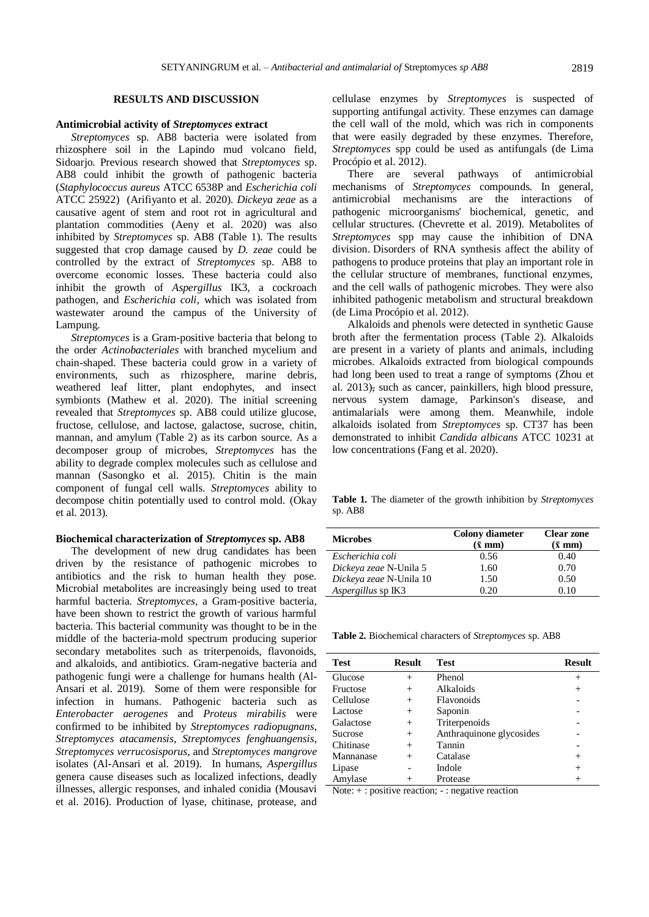#### **RESULTS AND DISCUSSION**

### **Antimicrobial activity of** *Streptomyces* **extract**

*Streptomyces* sp. AB8 bacteria were isolated from rhizosphere soil in the Lapindo mud volcano field, Sidoarjo. Previous research showed that *Streptomyces* sp. AB8 could inhibit the growth of pathogenic bacteria (*Staphylococcus aureus* ATCC 6538P and *Escherichia coli* ATCC 25922) (Arifiyanto et al. 2020). *Dickeya zeae* as a causative agent of stem and root rot in agricultural and plantation commodities (Aeny et al. 2020) was also inhibited by *Streptomyces* sp. AB8 (Table 1). The results suggested that crop damage caused by *D. zeae* could be controlled by the extract of *Streptomyces* sp. AB8 to overcome economic losses. These bacteria could also inhibit the growth of *Aspergillus* IK3, a cockroach pathogen, and *Escherichia coli*, which was isolated from wastewater around the campus of the University of Lampung.

*Streptomyces* is a Gram-positive bacteria that belong to the order *Actinobacteriales* with branched mycelium and chain-shaped. These bacteria could grow in a variety of environments, such as rhizosphere, marine debris, weathered leaf litter, plant endophytes, and insect symbionts (Mathew et al. 2020). The initial screening revealed that *Streptomyces* sp. AB8 could utilize glucose, fructose, cellulose, and lactose, galactose, sucrose, chitin, mannan, and amylum (Table 2) as its carbon source. As a decomposer group of microbes, *Streptomyces* has the ability to degrade complex molecules such as cellulose and mannan (Sasongko et al. 2015). Chitin is the main component of fungal cell walls. *Streptomyces* ability to decompose chitin potentially used to control mold. (Okay et al. 2013).

#### **Biochemical characterization of** *Streptomyces* **sp. AB8**

The development of new drug candidates has been driven by the resistance of pathogenic microbes to antibiotics and the risk to human health they pose. Microbial metabolites are increasingly being used to treat harmful bacteria. *Streptomyces*, a Gram-positive bacteria, have been shown to restrict the growth of various harmful bacteria. This bacterial community was thought to be in the middle of the bacteria-mold spectrum producing superior secondary metabolites such as triterpenoids, flavonoids, and alkaloids, and antibiotics. Gram-negative bacteria and pathogenic fungi were a challenge for humans health (Al-Ansari et al. 2019). Some of them were responsible for infection in humans. Pathogenic bacteria such as *Enterobacter aerogenes* and *Proteus mirabilis* were confirmed to be inhibited by *Streptomyces radiopugnans*, *Streptomyces atacamensis*, *Streptomyces fenghuangensis*, *Streptomyces verrucosisporus*, and *Streptomyces mangrove* isolates (Al-Ansari et al. 2019). In humans, *Aspergillus* genera cause diseases such as localized infections, deadly illnesses, allergic responses, and inhaled conidia (Mousavi et al. 2016). Production of lyase, chitinase, protease, and

cellulase enzymes by *Streptomyces* is suspected of supporting antifungal activity. These enzymes can damage the cell wall of the mold, which was rich in components that were easily degraded by these enzymes. Therefore, *Streptomyces* spp could be used as antifungals (de Lima Procópio et al. 2012).

There are several pathways of antimicrobial mechanisms of *Streptomyces* compounds. In general, antimicrobial mechanisms are the interactions of pathogenic microorganisms' biochemical, genetic, and cellular structures. (Chevrette et al. 2019). Metabolites of *Streptomyces* spp may cause the inhibition of DNA division. Disorders of RNA synthesis affect the ability of pathogens to produce proteins that play an important role in the cellular structure of membranes, functional enzymes, and the cell walls of pathogenic microbes. They were also inhibited pathogenic metabolism and structural breakdown (de Lima Procópio et al. 2012).

Alkaloids and phenols were detected in synthetic Gause broth after the fermentation process (Table 2). Alkaloids are present in a variety of plants and animals, including microbes. Alkaloids extracted from biological compounds had long been used to treat a range of symptoms (Zhou et al. 2013), such as cancer, painkillers, high blood pressure, nervous system damage, Parkinson's disease, and antimalarials were among them. Meanwhile, indole alkaloids isolated from *Streptomyces* sp. CT37 has been demonstrated to inhibit *Candida albicans* ATCC 10231 at low concentrations (Fang et al. 2020).

**Table 1.** The diameter of the growth inhibition by *Streptomyces* sp. AB8

| <b>Microbes</b>         | <b>Colony</b> diameter<br>$(\bar{x} \text{ mm})$ | <b>Clear zone</b><br>$(\bar{x} \text{ mm})$ |
|-------------------------|--------------------------------------------------|---------------------------------------------|
| Escherichia coli        | 0.56                                             | 0.40                                        |
| Dickeya zeae N-Unila 5  | 1.60                                             | 0.70                                        |
| Dickeya zeae N-Unila 10 | 1.50                                             | 0.50                                        |
| Aspergillus sp IK3      | በ 20                                             | 0.10                                        |

**Table 2.** Biochemical characters of *Streptomyces* sp. AB8

| <b>Test</b> | <b>Result</b> | <b>Test</b>              | Result |
|-------------|---------------|--------------------------|--------|
| Glucose     | $^{+}$        | Phenol                   | $^{+}$ |
| Fructose    | $^+$          | Alkaloids                | $^{+}$ |
| Cellulose   | $^{+}$        | Flavonoids               |        |
| Lactose     | $^+$          | Saponin                  |        |
| Galactose   | $^{+}$        | Triterpenoids            |        |
| Sucrose     | $^{+}$        | Anthraquinone glycosides |        |
| Chitinase   | $^{+}$        | Tannin                   |        |
| Mannanase   | $^{+}$        | Catalase                 | $^+$   |
| Lipase      |               | Indole                   | $^+$   |
| Amylase     |               | Protease                 |        |

Note: + : positive reaction; - : negative reaction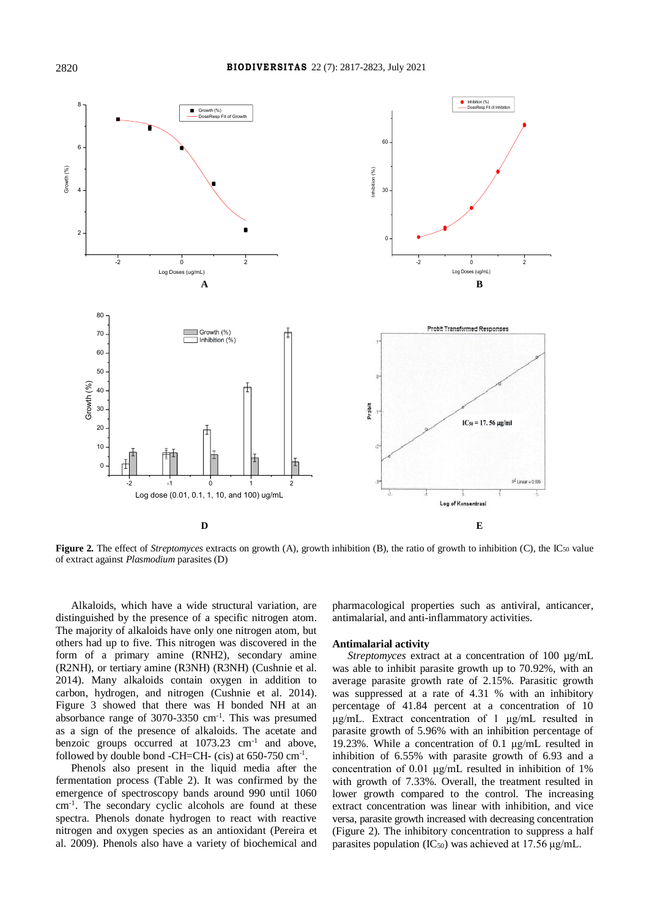

**Figure 2.** The effect of *Streptomyces* extracts on growth (A), growth inhibition (B), the ratio of growth to inhibition (C), the IC<sub>50</sub> value of extract against *Plasmodium* parasites (D)

Alkaloids, which have a wide structural variation, are distinguished by the presence of a specific nitrogen atom. The majority of alkaloids have only one nitrogen atom, but others had up to five. This nitrogen was discovered in the form of a primary amine (RNH2), secondary amine (R2NH), or tertiary amine (R3NH) (R3NH) (Cushnie et al. 2014). Many alkaloids contain oxygen in addition to carbon, hydrogen, and nitrogen (Cushnie et al. 2014). Figure 3 showed that there was H bonded NH at an absorbance range of  $3070-3350$  cm<sup>-1</sup>. This was presumed as a sign of the presence of alkaloids. The acetate and benzoic groups occurred at  $1073.23 \text{ cm}^{-1}$  and above, followed by double bond -CH=CH- (cis) at  $650-750$   $cm^{-1}$ .

Phenols also present in the liquid media after the fermentation process (Table 2). It was confirmed by the emergence of spectroscopy bands around 990 until 1060 cm-1 . The secondary cyclic alcohols are found at these spectra. Phenols donate hydrogen to react with reactive nitrogen and oxygen species as an antioxidant (Pereira et al. 2009). Phenols also have a variety of biochemical and

pharmacological properties such as antiviral, anticancer, antimalarial, and anti-inflammatory activities.

#### **Antimalarial activity**

*Streptomyces* extract at a concentration of 100 µg/mL was able to inhibit parasite growth up to 70.92%, with an average parasite growth rate of 2.15%. Parasitic growth was suppressed at a rate of 4.31 % with an inhibitory percentage of 41.84 percent at a concentration of 10 μg/mL. Extract concentration of 1 μg/mL resulted in parasite growth of 5.96% with an inhibition percentage of 19.23%. While a concentration of 0.1 μg/mL resulted in inhibition of 6.55% with parasite growth of 6.93 and a concentration of 0.01 μg/mL resulted in inhibition of 1% with growth of 7.33%. Overall, the treatment resulted in lower growth compared to the control. The increasing extract concentration was linear with inhibition, and vice versa, parasite growth increased with decreasing concentration (Figure 2). The inhibitory concentration to suppress a half parasites population  $(IC_{50})$  was achieved at 17.56 μg/mL.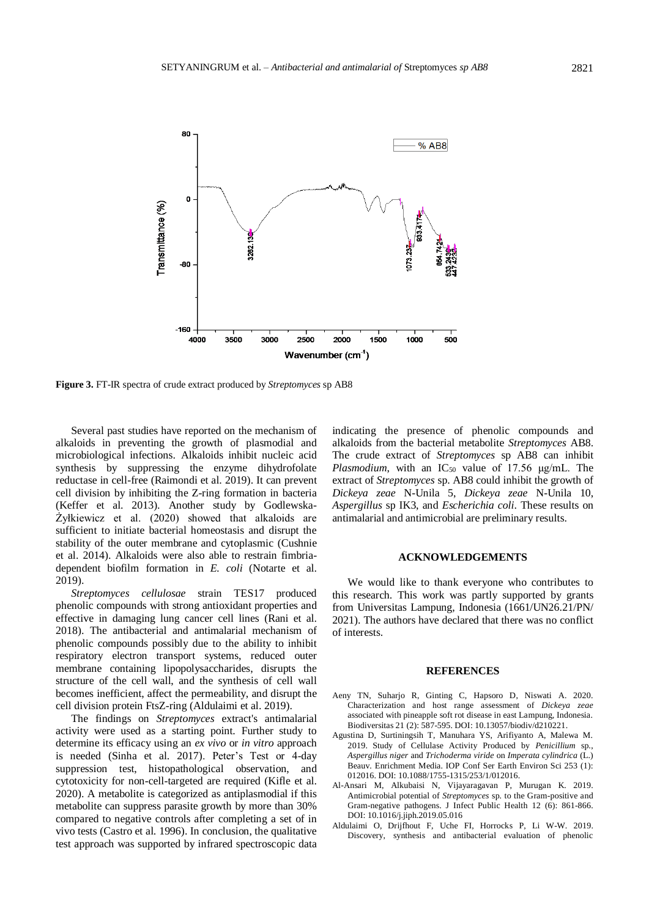

**Figure 3.** FT-IR spectra of crude extract produced by *Streptomyces* sp AB8

Several past studies have reported on the mechanism of alkaloids in preventing the growth of plasmodial and microbiological infections. Alkaloids inhibit nucleic acid synthesis by suppressing the enzyme dihydrofolate reductase in cell-free (Raimondi et al. 2019). It can prevent cell division by inhibiting the Z-ring formation in bacteria (Keffer et al. 2013). Another study by Godlewska-Żyłkiewicz et al. (2020) showed that alkaloids are sufficient to initiate bacterial homeostasis and disrupt the stability of the outer membrane and cytoplasmic (Cushnie et al. 2014). Alkaloids were also able to restrain fimbriadependent biofilm formation in *E. coli* (Notarte et al. 2019).

*Streptomyces cellulosae* strain TES17 produced phenolic compounds with strong antioxidant properties and effective in damaging lung cancer cell lines (Rani et al. 2018). The antibacterial and antimalarial mechanism of phenolic compounds possibly due to the ability to inhibit respiratory electron transport systems, reduced outer membrane containing lipopolysaccharides, disrupts the structure of the cell wall, and the synthesis of cell wall becomes inefficient, affect the permeability, and disrupt the cell division protein FtsZ-ring (Aldulaimi et al. 2019).

The findings on *Streptomyces* extract's antimalarial activity were used as a starting point. Further study to determine its efficacy using an *ex vivo* or *in vitro* approach is needed (Sinha et al. 2017). Peter's Test or 4-day suppression test, histopathological observation, and cytotoxicity for non-cell-targeted are required (Kifle et al. 2020). A metabolite is categorized as antiplasmodial if this metabolite can suppress parasite growth by more than 30% compared to negative controls after completing a set of in vivo tests (Castro et al. 1996). In conclusion, the qualitative test approach was supported by infrared spectroscopic data indicating the presence of phenolic compounds and alkaloids from the bacterial metabolite *Streptomyces* AB8. The crude extract of *Streptomyces* sp AB8 can inhibit *Plasmodium*, with an IC<sub>50</sub> value of 17.56 μg/mL. The extract of *Streptomyces* sp. AB8 could inhibit the growth of *Dickeya zeae* N-Unila 5, *Dickeya zeae* N-Unila 10, *Aspergillus* sp IK3, and *Escherichia coli*. These results on antimalarial and antimicrobial are preliminary results.

## **ACKNOWLEDGEMENTS**

We would like to thank everyone who contributes to this research. This work was partly supported by grants from Universitas Lampung, Indonesia (1661/UN26.21/PN/ 2021). The authors have declared that there was no conflict of interests.

#### **REFERENCES**

- Aeny TN, Suharjo R, Ginting C, Hapsoro D, Niswati A. 2020. Characterization and host range assessment of *Dickeya zeae* associated with pineapple soft rot disease in east Lampung, Indonesia. Biodiversitas 21 (2): 587-595. DOI: 10.13057/biodiv/d210221.
- Agustina D, Surtiningsih T, Manuhara YS, Arifiyanto A, Malewa M. 2019. Study of Cellulase Activity Produced by *Penicillium* sp., *Aspergillus niger* and *Trichoderma viride* on *Imperata cylindrica* (L.) Beauv. Enrichment Media. IOP Conf Ser Earth Environ Sci 253 (1): 012016. DOI: 10.1088/1755-1315/253/1/012016.
- Al-Ansari M, Alkubaisi N, Vijayaragavan P, Murugan K. 2019. Antimicrobial potential of *Streptomyces* sp. to the Gram-positive and Gram-negative pathogens. J Infect Public Health 12 (6): 861-866. DOI: 10.1016/j.jiph.2019.05.016
- Aldulaimi O, Drijfhout F, Uche FI, Horrocks P, Li W-W. 2019. Discovery, synthesis and antibacterial evaluation of phenolic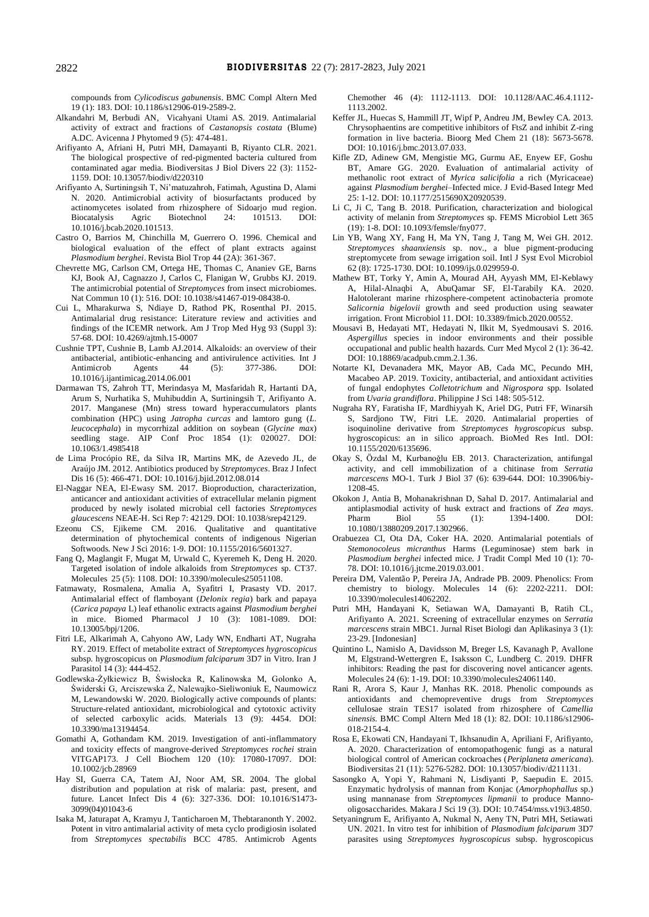compounds from *Cylicodiscus gabunensis*. BMC Compl Altern Med 19 (1): 183. DOI: 10.1186/s12906-019-2589-2.

- Alkandahri M, Berbudi AN, Vicahyani Utami AS. 2019. Antimalarial activity of extract and fractions of *Castanopsis costata* (Blume) A.DC. Avicenna J Phytomed 9 (5): 474-481.
- Arifiyanto A, Afriani H, Putri MH, Damayanti B, Riyanto CLR. 2021. The biological prospective of red-pigmented bacteria cultured from contaminated agar media. Biodiversitas J Biol Divers 22 (3): 1152- 1159. DOI: 10.13057/biodiv/d220310
- Arifiyanto A, Surtiningsih T, Ni'matuzahroh, Fatimah, Agustina D, Alami N. 2020. Antimicrobial activity of biosurfactants produced by actinomycetes isolated from rhizosphere of Sidoarjo mud region. Biocatalysis Agric Biotechnol 24: 101513. DOI: 10.1016/j.bcab.2020.101513.
- Castro O, Barrios M, Chinchilla M, Guerrero O. 1996. Chemical and biological evaluation of the effect of plant extracts against *Plasmodium berghei*. Revista Biol Trop 44 (2A): 361-367.
- Chevrette MG, Carlson CM, Ortega HE, Thomas C, Ananiev GE, Barns KJ, Book AJ, Cagnazzo J, Carlos C, Flanigan W, Grubbs KJ. 2019. The antimicrobial potential of *Streptomyces* from insect microbiomes. Nat Commun 10 (1): 516. DOI: 10.1038/s41467-019-08438-0.
- Cui L, Mharakurwa S, Ndiaye D, Rathod PK, Rosenthal PJ. 2015. Antimalarial drug resistance: Literature review and activities and findings of the ICEMR network. Am J Trop Med Hyg 93 (Suppl 3): 57-68. DOI: 10.4269/ajtmh.15-0007
- Cushnie TPT, Cushnie B, Lamb AJ.2014. Alkaloids: an overview of their antibacterial, antibiotic-enhancing and antivirulence activities. Int J Antimicrob Agents 44 (5): 377-386. DOI: 10.1016/j.ijantimicag.2014.06.001
- Darmawan TS, Zahroh TT, Merindasya M, Masfaridah R, Hartanti DA, Arum S, Nurhatika S, Muhibuddin A, Surtiningsih T, Arifiyanto A. 2017. Manganese (Mn) stress toward hyperaccumulators plants combination (HPC) using *Jatropha curcas* and lamtoro gung (*L. leucocephala*) in mycorrhizal addition on soybean (*Glycine max*) seedling stage. AIP Conf Proc 1854 (1): 020027. DOI: 10.1063/1.4985418
- de Lima Procópio RE, da Silva IR, Martins MK, de Azevedo JL, de Araújo JM. 2012. Antibiotics produced by *Streptomyces*. Braz J Infect Dis 16 (5): 466-471. DOI: 10.1016/j.bjid.2012.08.014
- El-Naggar NEA, El-Ewasy SM. 2017. Bioproduction, characterization, anticancer and antioxidant activities of extracellular melanin pigment produced by newly isolated microbial cell factories *Streptomyces glaucescens* NEAE-H. Sci Rep 7: 42129. DOI: 10.1038/srep42129.
- Ezeonu CS, Ejikeme CM. 2016. Qualitative and quantitative determination of phytochemical contents of indigenous Nigerian Softwoods. New J Sci 2016: 1-9. DOI: 10.1155/2016/5601327.
- Fang Q, Maglangit F, Mugat M, Urwald C, Kyeremeh K, Deng H. 2020. Targeted isolation of indole alkaloids from *Streptomyces* sp. CT37. Molecules 25 (5): 1108. DOI: 10.3390/molecules25051108.
- Fatmawaty, Rosmalena, Amalia A, Syafitri I, Prasasty VD. 2017. Antimalarial effect of flamboyant (*Delonix regia*) bark and papaya (*Carica papaya* L) leaf ethanolic extracts against *Plasmodium berghei* in mice. Biomed Pharmacol J 10 (3): 1081-1089. DOI: 10.13005/bpj/1206.
- Fitri LE, Alkarimah A, Cahyono AW, Lady WN, Endharti AT, Nugraha RY. 2019. Effect of metabolite extract of *Streptomyces hygroscopicus* subsp. hygroscopicus on *Plasmodium falciparum* 3D7 in Vitro. Iran J Parasitol 14 (3): 444-452.
- Godlewska-Żyłkiewicz B, Świsłocka R, Kalinowska M, Golonko A, Świderski G, Arciszewska Ż, Nalewajko-Sieliwoniuk E, Naumowicz M, Lewandowski W. 2020. Biologically active compounds of plants: Structure-related antioxidant, microbiological and cytotoxic activity of selected carboxylic acids. Materials 13 (9): 4454. DOI: 10.3390/ma13194454.
- Gomathi A, Gothandam KM. 2019. Investigation of anti-inflammatory and toxicity effects of mangrove-derived *Streptomyces rochei* strain VITGAP173. J Cell Biochem 120 (10): 17080-17097. DOI: 10.1002/jcb.28969
- Hay SI, Guerra CA, Tatem AJ, Noor AM, SR. 2004. The global distribution and population at risk of malaria: past, present, and future. Lancet Infect Dis 4 (6): 327-336. DOI: 10.1016/S1473- 3099(04)01043-6
- Isaka M, Jaturapat A, Kramyu J, Tanticharoen M, Thebtaranonth Y. 2002. Potent in vitro antimalarial activity of meta cyclo prodigiosin isolated from *Streptomyces spectabilis* BCC 4785. Antimicrob Agents

Chemother 46 (4): 1112-1113. DOI: 10.1128/AAC.46.4.1112- 1113.2002.

- Keffer JL, Huecas S, Hammill JT, Wipf P, Andreu JM, Bewley CA. 2013. Chrysophaentins are competitive inhibitors of FtsZ and inhibit Z-ring formation in live bacteria. Bioorg Med Chem 21 (18): 5673-5678. DOI: 10.1016/j.bmc.2013.07.033.
- Kifle ZD, Adinew GM, Mengistie MG, Gurmu AE, Enyew EF, Goshu BT, Amare GG. 2020. Evaluation of antimalarial activity of methanolic root extract of *Myrica salicifolia* a rich (Myricaceae) against *Plasmodium berghei*–Infected mice. J Evid-Based Integr Med 25: 1-12. DOI: 10.1177/2515690X20920539.
- Li C, Ji C, Tang B. 2018. Purification, characterization and biological activity of melanin from *Streptomyces* sp. FEMS Microbiol Lett 365 (19): 1-8. DOI: 10.1093/femsle/fny077.
- Lin YB, Wang XY, Fang H, Ma YN, Tang J, Tang M, Wei GH. 2012. *Streptomyces shaanxiensis* sp. nov., a blue pigment-producing streptomycete from sewage irrigation soil. Intl J Syst Evol Microbiol 62 (8): 1725-1730. DOI: 10.1099/ijs.0.029959-0.
- Mathew BT, Torky Y, Amin A, Mourad AH, Ayyash MM, El-Keblawy A, Hilal-Alnaqbi A, AbuQamar SF, El-Tarabily KA. 2020. Halotolerant marine rhizosphere-competent actinobacteria promote *Salicornia bigelovii* growth and seed production using seawater irrigation. Front Microbiol 11. DOI: 10.3389/fmicb.2020.00552.
- Mousavi B, Hedayati MT, Hedayati N, Ilkit M, Syedmousavi S. 2016. *Aspergillus* species in indoor environments and their possible occupational and public health hazards. Curr Med Mycol 2 (1): 36-42. DOI: 10.18869/acadpub.cmm.2.1.36.
- Notarte KI, Devanadera MK, Mayor AB, Cada MC, Pecundo MH, Macabeo AP. 2019. Toxicity, antibacterial, and antioxidant activities of fungal endophytes *Colletotrichum* and *Nigrospora* spp. Isolated from *Uvaria grandiflora*. Philippine J Sci 148: 505-512.
- Nugraha RY, Faratisha IF, Mardhiyyah K, Ariel DG, Putri FF, Winarsih S, Sardjono TW, Fitri LE. 2020. Antimalarial properties of isoquinoline derivative from *Streptomyces hygroscopicus* subsp. hygroscopicus: an in silico approach. BioMed Res Intl. DOI: 10.1155/2020/6135696.
- Okay S, Özdal M, Kurbanoǧlu EB. 2013. Characterization, antifungal activity, and cell immobilization of a chitinase from *Serratia marcescens* MO-1. Turk J Biol 37 (6): 639-644. DOI: 10.3906/biy-1208-45.
- Okokon J, Antia B, Mohanakrishnan D, Sahal D. 2017. Antimalarial and antiplasmodial activity of husk extract and fractions of *Zea mays*. Pharm Biol 55 (1): 1394-1400. DOI: 10.1080/13880209.2017.1302966.
- Orabuezea CI, Ota DA, Coker HA. 2020. Antimalarial potentials of *Stemonocoleus micranthus* Harms (Leguminosae) stem bark in *Plasmodium berghei* infected mice. J Tradit Compl Med 10 (1): 70- 78. DOI: 10.1016/j.jtcme.2019.03.001.
- Pereira DM, Valentão P, Pereira JA, Andrade PB. 2009. Phenolics: From chemistry to biology. Molecules 14 (6): 2202-2211. DOI: 10.3390/molecules14062202.
- Putri MH, Handayani K, Setiawan WA, Damayanti B, Ratih CL, Arifiyanto A. 2021. Screening of extracellular enzymes on *Serratia marcescens* strain MBC1. Jurnal Riset Biologi dan Aplikasinya 3 (1): 23-29. [Indonesian]
- Quintino L, Namislo A, Davidsson M, Breger LS, Kavanagh P, Avallone M, Elgstrand-Wettergren E, Isaksson C, Lundberg C. 2019. DHFR inhibitors: Reading the past for discovering novel anticancer agents. Molecules 24 (6): 1-19. DOI: 10.3390/molecules24061140.
- Rani R, Arora S, Kaur J, Manhas RK. 2018. Phenolic compounds as antioxidants and chemopreventive drugs from *Streptomyces* cellulosae strain TES17 isolated from rhizosphere of *Camellia sinensis.* BMC Compl Altern Med 18 (1): 82. DOI: 10.1186/s12906- 018-2154-4.
- Rosa E, Ekowati CN, Handayani T, Ikhsanudin A, Apriliani F, Arifiyanto, A. 2020. Characterization of entomopathogenic fungi as a natural biological control of American cockroaches (*Periplaneta americana*). Biodiversitas 21 (11): 5276-5282. DOI: 10.13057/biodiv/d211131.
- Sasongko A, Yopi Y, Rahmani N, Lisdiyanti P, Saepudin E. 2015. Enzymatic hydrolysis of mannan from Konjac (*Amorphophallus* sp.) using mannanase from *Streptomyces lipmanii* to produce Mannooligosaccharides. Makara J Sci 19 (3). DOI: 10.7454/mss.v19i3.4850.
- Setyaningrum E, Arifiyanto A, Nukmal N, Aeny TN, Putri MH, Setiawati UN. 2021. In vitro test for inhibition of *Plasmodium falciparum* 3D7 parasites using *Streptomyces hygroscopicus* subsp. hygroscopicus